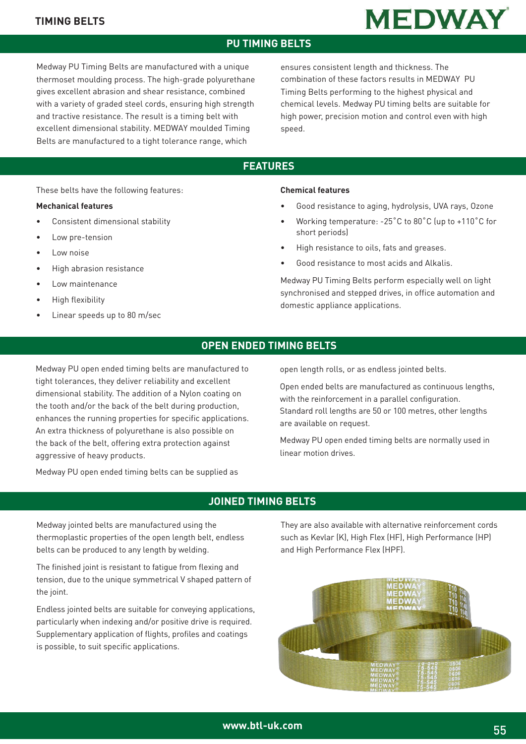#### **TIMING BELTS**

### **PU TIMING BELTS**

Medway PU Timing Belts are manufactured with a unique thermoset moulding process. The high-grade polyurethane gives excellent abrasion and shear resistance, combined with a variety of graded steel cords, ensuring high strength and tractive resistance. The result is a timing belt with excellent dimensional stability. MEDWAY moulded Timing Belts are manufactured to a tight tolerance range, which

ensures consistent length and thickness. The combination of these factors results in MEDWAY PU Timing Belts performing to the highest physical and chemical levels. Medway PU timing belts are suitable for high power, precision motion and control even with high speed.

**MEDWAY** 

## **FEATURES**

These belts have the following features:

#### **Mechanical features**

- Consistent dimensional stability
- Low pre-tension
- Low noise
- High abrasion resistance
- Low maintenance
- High flexibility
- Linear speeds up to 80 m/sec

#### **Chemical features**

- Good resistance to aging, hydrolysis, UVA rays, Ozone
- Working temperature: -25˚C to 80˚C (up to +110˚C for short periods)
- High resistance to oils, fats and greases.
- Good resistance to most acids and Alkalis.

Medway PU Timing Belts perform especially well on light synchronised and stepped drives, in office automation and domestic appliance applications.

### **OPEN ENDED TIMING BELTS**

Medway PU open ended timing belts are manufactured to tight tolerances, they deliver reliability and excellent dimensional stability. The addition of a Nylon coating on the tooth and/or the back of the belt during production, enhances the running properties for specific applications. An extra thickness of polyurethane is also possible on the back of the belt, offering extra protection against aggressive of heavy products.

Medway PU open ended timing belts can be supplied as

open length rolls, or as endless jointed belts.

Open ended belts are manufactured as continuous lengths, with the reinforcement in a parallel configuration. Standard roll lengths are 50 or 100 metres, other lengths are available on request.

Medway PU open ended timing belts are normally used in linear motion drives.

#### **JOINED TIMING BELTS**

Medway jointed belts are manufactured using the thermoplastic properties of the open length belt, endless belts can be produced to any length by welding.

The finished joint is resistant to fatigue from flexing and tension, due to the unique symmetrical V shaped pattern of the joint.

Endless jointed belts are suitable for conveying applications, particularly when indexing and/or positive drive is required. Supplementary application of flights, profiles and coatings is possible, to suit specific applications.

They are also available with alternative reinforcement cords such as Kevlar (K), High Flex (HF), High Performance (HP) and High Performance Flex (HPF).

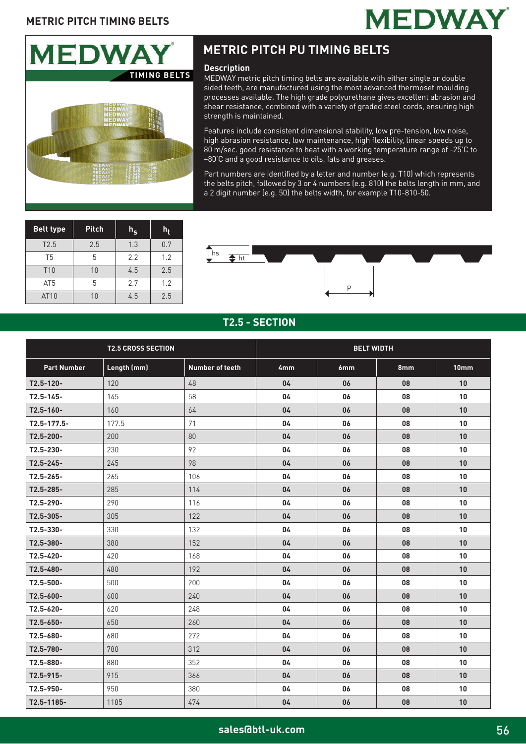



# **METRIC PITCH PU TIMING BELTS**

#### **Description**

MEDWAY metric pitch timing belts are available with either single or double sided teeth, are manufactured using the most advanced thermoset moulding processes available. The high grade polyurethane gives excellent abrasion and shear resistance, combined with a variety of graded steel cords, ensuring high strength is maintained.

Features include consistent dimensional stability, low pre-tension, low noise, high abrasion resistance, low maintenance, high flexibility, linear speeds up to 80 m/sec. good resistance to heat with a working temperature range of -25'C to +80'C and a good resistance to oils, fats and greases.

Part numbers are identified by a letter and number (e.g. T10) which represents the belts pitch, followed by 3 or 4 numbers (e.g. 810) the belts length in mm, and a 2 digit number (e.g. 50) the belts width, for example T10-810-50.

| <b>Belt type</b> | <b>Pitch</b> | $h_{\scriptscriptstyle{\mathbf{S}}}$ | h,  |
|------------------|--------------|--------------------------------------|-----|
| T2.5             | 2.5          | 1.3                                  | 0.7 |
| T <sub>5</sub>   | 5            | 2.2                                  | 1.2 |
| T <sub>10</sub>  | 10           | 4.5                                  | 2.5 |
| AT <sub>5</sub>  | 5            | 2.7                                  | 1.2 |
| AT10             | 10           | 4.5                                  | 2.5 |



#### **T2.5 - SECTION**

|                    | <b>T2.5 CROSS SECTION</b> |                        | <b>BELT WIDTH</b> |     |     |                  |  |
|--------------------|---------------------------|------------------------|-------------------|-----|-----|------------------|--|
| <b>Part Number</b> | Length (mm)               | <b>Number of teeth</b> | 4mm               | 6mm | 8mm | 10 <sub>mm</sub> |  |
| $T2.5 - 120 -$     | 120                       | 48                     | 04                | 06  | 08  | 10               |  |
| $T2.5 - 145 -$     | 145                       | 58                     | 04                | 06  | 08  | 10               |  |
| $T2.5 - 160 -$     | 160                       | 64                     | 04                | 06  | 08  | 10               |  |
| $T2.5 - 177.5 -$   | 177.5                     | 71                     | 04                | 06  | 08  | 10               |  |
| T2.5-200-          | 200                       | 80                     | 04                | 06  | 08  | 10               |  |
| T2.5-230-          | 230                       | 92                     | 04                | 06  | 08  | 10               |  |
| $T2.5 - 245 -$     | 245                       | 98                     | 04                | 06  | 08  | 10               |  |
| $T2.5 - 265 -$     | 265                       | 106                    | 04                | 06  | 08  | 10               |  |
| $T2.5 - 285 -$     | 285                       | 114                    | 04                | 06  | 08  | 10               |  |
| T2.5-290-          | 290                       | 116                    | 04                | 06  | 08  | 10               |  |
| T2.5-305-          | 305                       | 122                    | 04                | 06  | 08  | 10               |  |
| T2.5-330-          | 330                       | 132                    | 04                | 06  | 08  | 10               |  |
| T2.5-380-          | 380                       | 152                    | 04                | 06  | 08  | 10               |  |
| T2.5-420-          | 420                       | 168                    | 04                | 06  | 08  | 10               |  |
| T2.5-480-          | 480                       | 192                    | 04                | 06  | 08  | 10               |  |
| $T2.5 - 500 -$     | 500                       | 200                    | 04                | 06  | 08  | 10               |  |
| T2.5-600-          | 600                       | 240                    | 04                | 06  | 08  | 10               |  |
| T2.5-620-          | 620                       | 248                    | 04                | 06  | 08  | 10               |  |
| $T2.5 - 650 -$     | 650                       | 260                    | 04                | 06  | 08  | 10               |  |
| $T2.5 - 680 -$     | 680                       | 272                    | 04                | 06  | 08  | 10               |  |
| T2.5-780-          | 780                       | 312                    | 04                | 06  | 08  | 10               |  |
| T2.5-880-          | 880                       | 352                    | 04                | 06  | 08  | 10               |  |
| $T2.5 - 915 -$     | 915                       | 366                    | 04                | 06  | 08  | 10               |  |
| T2.5-950-          | 950                       | 380                    | 04                | 06  | 08  | 10               |  |
| T2.5-1185-         | 1185                      | 474                    | 04                | 06  | 08  | 10               |  |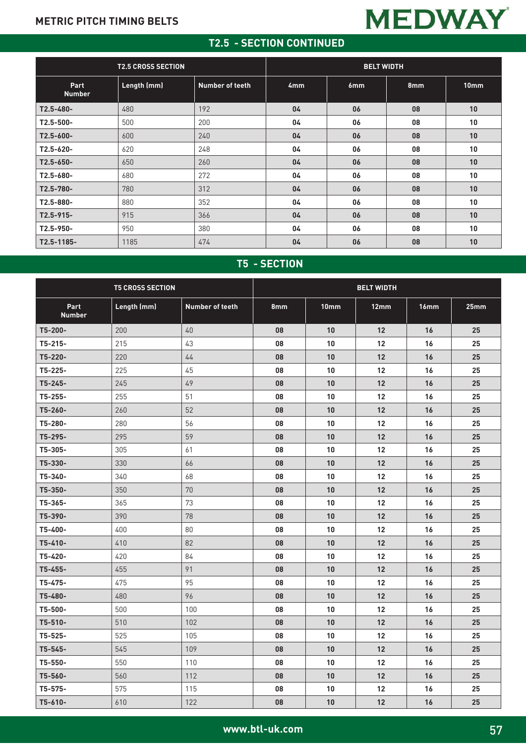# **MEDWAY**

### **T2.5 - SECTION CONTINUED**

|                       | <b>T2.5 CROSS SECTION</b> |                 | <b>BELT WIDTH</b> |     |     |      |  |  |
|-----------------------|---------------------------|-----------------|-------------------|-----|-----|------|--|--|
| Part<br><b>Number</b> | Length (mm)               | Number of teeth | 4 <sub>mm</sub>   | 6mm | 8mm | 10mm |  |  |
| $T2.5 - 480 -$        | 480                       | 192             | 04                | 06  | 08  | 10   |  |  |
| $T2.5 - 500 -$        | 500                       | 200             | 04                | 06  | 08  | 10   |  |  |
| $T2.5 - 600 -$        | 600                       | 240             | 04                | 06  | 08  | 10   |  |  |
| $T2.5 - 620 -$        | 620                       | 248             | 04                | 06  | 08  | 10   |  |  |
| $T2.5 - 650 -$        | 650                       | 260             | 04                | 06  | 08  | 10   |  |  |
| $T2.5 - 680 -$        | 680                       | 272             | 04                | 06  | 08  | 10   |  |  |
| T2.5-780-             | 780                       | 312             | 04                | 06  | 08  | 10   |  |  |
| $T2.5 - 880 -$        | 880                       | 352             | 04                | 06  | 08  | 10   |  |  |
| $T2.5 - 915 -$        | 915                       | 366             | 04                | 06  | 08  | 10   |  |  |
| $T2.5 - 950 -$        | 950                       | 380             | 04                | 06  | 08  | 10   |  |  |
| $T2.5 - 1185 -$       | 1185                      | 474             | 04                | 06  | 08  | 10   |  |  |

# **T5 - SECTION**

|                       | <b>T5 CROSS SECTION</b> |                        | <b>BELT WIDTH</b> |      |                 |                  |                  |
|-----------------------|-------------------------|------------------------|-------------------|------|-----------------|------------------|------------------|
| Part<br><b>Number</b> | Length (mm)             | <b>Number of teeth</b> | 8mm               | 10mm | 12mm            | 16 <sub>mm</sub> | 25 <sub>mm</sub> |
| T5-200-               | 200                     | 40                     | 08                | 10   | 12              | 16               | 25               |
| $T5-215-$             | 215                     | 43                     | 08                | 10   | $12 \,$         | 16               | 25               |
| T5-220-               | 220                     | 44                     | 08                | 10   | 12              | 16               | 25               |
| T5-225-               | 225                     | 45                     | 08                | 10   | 12              | 16               | 25               |
| T5-245-               | 245                     | 49                     | 08                | 10   | 12              | 16               | 25               |
| T5-255-               | 255                     | 51                     | 08                | 10   | 12              | 16               | 25               |
| T5-260-               | 260                     | 52                     | 08                | 10   | 12              | 16               | 25               |
| T5-280-               | 280                     | 56                     | 08                | 10   | 12              | 16               | 25               |
| T5-295-               | 295                     | 59                     | 08                | 10   | 12              | 16               | 25               |
| T5-305-               | 305                     | 61                     | 08                | 10   | 12              | 16               | 25               |
| T5-330-               | 330                     | 66                     | 08                | 10   | 12              | 16               | 25               |
| T5-340-               | 340                     | 68                     | 08                | 10   | 12 <sup>2</sup> | 16               | 25               |
| T5-350-               | 350                     | 70                     | 08                | 10   | 12              | 16               | 25               |
| T5-365-               | 365                     | 73                     | 08                | 10   | 12              | 16               | 25               |
| T5-390-               | 390                     | 78                     | 08                | 10   | 12              | 16               | 25               |
| T5-400-               | 400                     | 80                     | 08                | 10   | 12              | 16               | 25               |
| T5-410-               | 410                     | 82                     | 08                | 10   | 12              | 16               | 25               |
| T5-420-               | 420                     | 84                     | 08                | 10   | 12              | 16               | 25               |
| T5-455-               | 455                     | 91                     | 08                | 10   | 12              | 16               | 25               |
| T5-475-               | 475                     | 95                     | 08                | 10   | 12              | 16               | 25               |
| T5-480-               | 480                     | 96                     | 08                | 10   | 12              | 16               | 25               |
| T5-500-               | 500                     | 100                    | 08                | 10   | 12              | 16               | 25               |
| T5-510-               | 510                     | 102                    | 08                | 10   | 12              | 16               | 25               |
| T5-525-               | 525                     | 105                    | 08                | 10   | 12              | 16               | 25               |
| T5-545-               | 545                     | 109                    | 08                | 10   | 12              | 16               | 25               |
| T5-550-               | 550                     | 110                    | 08                | 10   | 12              | 16               | 25               |
| T5-560-               | 560                     | 112                    | 08                | 10   | 12              | 16               | 25               |
| T5-575-               | 575                     | 115                    | 08                | 10   | 12              | 16               | 25               |
| $T5-610-$             | 610                     | 122                    | 08                | 10   | 12              | 16               | 25               |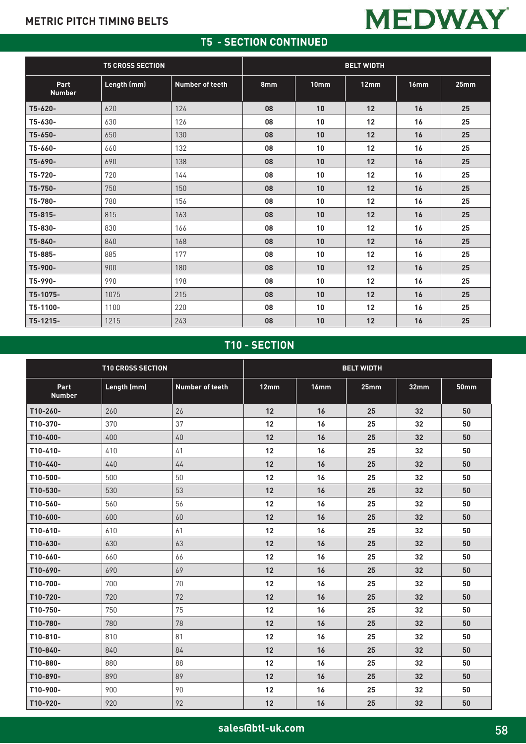## **T5 - SECTION CONTINUED**

|                       | <b>T5 CROSS SECTION</b> |                        | <b>BELT WIDTH</b> |      |      |      |      |  |
|-----------------------|-------------------------|------------------------|-------------------|------|------|------|------|--|
| Part<br><b>Number</b> | Length (mm)             | <b>Number of teeth</b> | 8mm               | 10mm | 12mm | 16mm | 25mm |  |
| T5-620-               | 620                     | 124                    | 08                | 10   | 12   | 16   | 25   |  |
| T5-630-               | 630                     | 126                    | 08                | 10   | 12   | 16   | 25   |  |
| T5-650-               | 650                     | 130                    | 08                | 10   | 12   | 16   | 25   |  |
| T5-660-               | 660                     | 132                    | 08                | 10   | 12   | 16   | 25   |  |
| T5-690-               | 690                     | 138                    | 08                | 10   | 12   | 16   | 25   |  |
| T5-720-               | 720                     | 144                    | 08                | 10   | 12   | 16   | 25   |  |
| T5-750-               | 750                     | 150                    | 08                | 10   | 12   | 16   | 25   |  |
| T5-780-               | 780                     | 156                    | 08                | 10   | 12   | 16   | 25   |  |
| T5-815-               | 815                     | 163                    | 08                | 10   | 12   | 16   | 25   |  |
| T5-830-               | 830                     | 166                    | 08                | 10   | 12   | 16   | 25   |  |
| T5-840-               | 840                     | 168                    | 08                | 10   | 12   | 16   | 25   |  |
| T5-885-               | 885                     | 177                    | 08                | 10   | 12   | 16   | 25   |  |
| T5-900-               | 900                     | 180                    | 08                | 10   | 12   | 16   | 25   |  |
| T5-990-               | 990                     | 198                    | 08                | 10   | 12   | 16   | 25   |  |
| T5-1075-              | 1075                    | 215                    | 08                | 10   | 12   | 16   | 25   |  |
| T5-1100-              | 1100                    | 220                    | 08                | 10   | 12   | 16   | 25   |  |
| T5-1215-              | 1215                    | 243                    | 08                | 10   | 12   | 16   | 25   |  |

# **T10 - SECTION**

|                       | <b>T10 CROSS SECTION</b> |                        | <b>BELT WIDTH</b> |      |      |      |             |  |
|-----------------------|--------------------------|------------------------|-------------------|------|------|------|-------------|--|
| Part<br><b>Number</b> | Length (mm)              | <b>Number of teeth</b> | 12mm              | 16mm | 25mm | 32mm | <b>50mm</b> |  |
| T10-260-              | 260                      | 26                     | 12                | 16   | 25   | 32   | 50          |  |
| T10-370-              | 370                      | 37                     | 12                | 16   | 25   | 32   | 50          |  |
| T10-400-              | 400                      | 40                     | 12                | 16   | 25   | 32   | 50          |  |
| T10-410-              | 410                      | 41                     | 12                | 16   | 25   | 32   | 50          |  |
| T10-440-              | 440                      | 44                     | 12                | 16   | 25   | 32   | 50          |  |
| T10-500-              | 500                      | 50                     | 12                | 16   | 25   | 32   | 50          |  |
| T10-530-              | 530                      | 53                     | 12                | 16   | 25   | 32   | 50          |  |
| T10-560-              | 560                      | 56                     | 12                | 16   | 25   | 32   | 50          |  |
| T10-600-              | 600                      | 60                     | 12                | 16   | 25   | 32   | 50          |  |
| T10-610-              | 610                      | 61                     | 12                | 16   | 25   | 32   | 50          |  |
| T10-630-              | 630                      | 63                     | 12                | 16   | 25   | 32   | 50          |  |
| T10-660-              | 660                      | 66                     | 12                | 16   | 25   | 32   | 50          |  |
| T10-690-              | 690                      | 69                     | 12                | 16   | 25   | 32   | 50          |  |
| T10-700-              | 700                      | 70                     | 12                | 16   | 25   | 32   | 50          |  |
| T10-720-              | 720                      | 72                     | 12                | 16   | 25   | 32   | 50          |  |
| T10-750-              | 750                      | 75                     | 12                | 16   | 25   | 32   | 50          |  |
| T10-780-              | 780                      | 78                     | 12                | 16   | 25   | 32   | 50          |  |
| T10-810-              | 810                      | 81                     | $12 \overline{ }$ | 16   | 25   | 32   | 50          |  |
| T10-840-              | 840                      | 84                     | 12                | 16   | 25   | 32   | 50          |  |
| T10-880-              | 880                      | 88                     | 12                | 16   | 25   | 32   | 50          |  |
| T10-890-              | 890                      | 89                     | 12                | 16   | 25   | 32   | 50          |  |
| T10-900-              | 900                      | 90                     | 12                | 16   | 25   | 32   | 50          |  |
| T10-920-              | 920                      | 92                     | 12                | 16   | 25   | 32   | 50          |  |

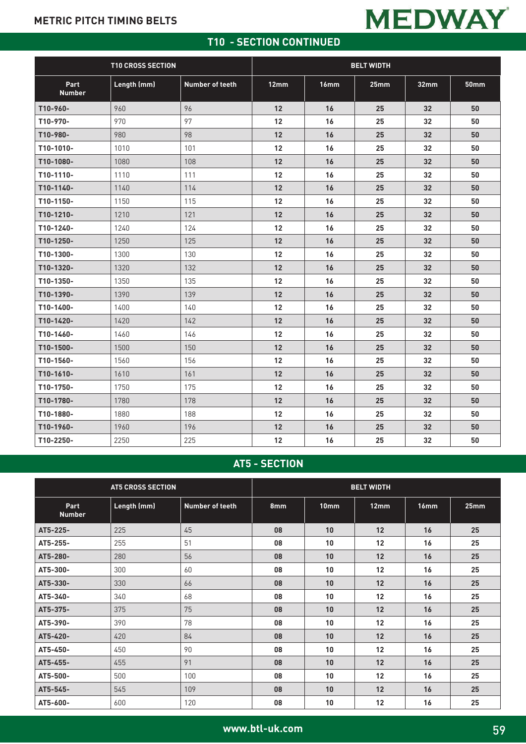# **MEDWAY**

## **T10 - SECTION CONTINUED**

|                       | <b>T10 CROSS SECTION</b> |                 | <b>BELT WIDTH</b> |      |      |                 |             |
|-----------------------|--------------------------|-----------------|-------------------|------|------|-----------------|-------------|
| Part<br><b>Number</b> | Length (mm)              | Number of teeth | 12mm              | 16mm | 25mm | 32mm            | <b>50mm</b> |
| T10-960-              | 960                      | 96              | 12                | 16   | 25   | 32 <sub>2</sub> | 50          |
| T10-970-              | 970                      | 97              | 12                | 16   | 25   | 32              | 50          |
| T10-980-              | 980                      | 98              | 12                | 16   | 25   | 32              | 50          |
| T10-1010-             | 1010                     | 101             | 12                | 16   | 25   | 32              | 50          |
| T10-1080-             | 1080                     | 108             | 12                | 16   | 25   | 32              | 50          |
| T10-1110-             | 1110                     | 111             | 12                | 16   | 25   | 32              | 50          |
| T10-1140-             | 1140                     | 114             | 12                | 16   | 25   | 32              | 50          |
| T10-1150-             | 1150                     | 115             | 12                | 16   | 25   | 32              | 50          |
| T10-1210-             | 1210                     | 121             | 12                | 16   | 25   | 32              | 50          |
| T10-1240-             | 1240                     | 124             | 12                | 16   | 25   | 32              | 50          |
| T10-1250-             | 1250                     | 125             | 12                | 16   | 25   | 32              | 50          |
| T10-1300-             | 1300                     | 130             | 12                | 16   | 25   | 32              | 50          |
| T10-1320-             | 1320                     | 132             | 12                | 16   | 25   | 32              | 50          |
| T10-1350-             | 1350                     | 135             | 12                | 16   | 25   | 32              | 50          |
| T10-1390-             | 1390                     | 139             | 12                | 16   | 25   | 32              | 50          |
| T10-1400-             | 1400                     | 140             | 12                | 16   | 25   | 32              | 50          |
| T10-1420-             | 1420                     | 142             | 12                | 16   | 25   | 32              | 50          |
| T10-1460-             | 1460                     | 146             | 12                | 16   | 25   | 32              | 50          |
| T10-1500-             | 1500                     | 150             | 12                | 16   | 25   | 32              | 50          |
| T10-1560-             | 1560                     | 156             | 12                | 16   | 25   | 32              | 50          |
| T10-1610-             | 1610                     | 161             | 12                | 16   | 25   | 32              | 50          |
| T10-1750-             | 1750                     | 175             | 12                | 16   | 25   | 32              | 50          |
| T10-1780-             | 1780                     | 178             | 12                | 16   | 25   | 32 <sub>2</sub> | 50          |
| T10-1880-             | 1880                     | 188             | 12                | 16   | 25   | 32              | 50          |
| T10-1960-             | 1960                     | 196             | 12                | 16   | 25   | 32              | 50          |
| T10-2250-             | 2250                     | 225             | 12                | 16   | 25   | 32              | 50          |

# **AT5 - SECTION**

|                       | <b>AT5 CROSS SECTION</b> |                        |     | <b>BELT WIDTH</b> |      |      |      |  |
|-----------------------|--------------------------|------------------------|-----|-------------------|------|------|------|--|
| Part<br><b>Number</b> | Length (mm)              | <b>Number of teeth</b> | 8mm | 10mm              | 12mm | 16mm | 25mm |  |
| AT5-225-              | 225                      | 45                     | 08  | 10                | 12   | 16   | 25   |  |
| AT5-255-              | 255                      | 51                     | 08  | 10                | 12   | 16   | 25   |  |
| AT5-280-              | 280                      | 56                     | 08  | 10                | 12   | 16   | 25   |  |
| AT5-300-              | 300                      | 60                     | 08  | 10                | 12   | 16   | 25   |  |
| AT5-330-              | 330                      | 66                     | 08  | 10                | 12   | 16   | 25   |  |
| AT5-340-              | 340                      | 68                     | 08  | 10                | 12   | 16   | 25   |  |
| AT5-375-              | 375                      | 75                     | 08  | 10                | 12   | 16   | 25   |  |
| AT5-390-              | 390                      | 78                     | 08  | 10                | 12   | 16   | 25   |  |
| AT5-420-              | 420                      | 84                     | 08  | 10                | 12   | 16   | 25   |  |
| AT5-450-              | 450                      | 90                     | 08  | 10                | 12   | 16   | 25   |  |
| AT5-455-              | 455                      | 91                     | 08  | 10                | 12   | 16   | 25   |  |
| AT5-500-              | 500                      | 100                    | 08  | 10                | 12   | 16   | 25   |  |
| AT5-545-              | 545                      | 109                    | 08  | 10                | 12   | 16   | 25   |  |
| AT5-600-              | 600                      | 120                    | 08  | 10                | 12   | 16   | 25   |  |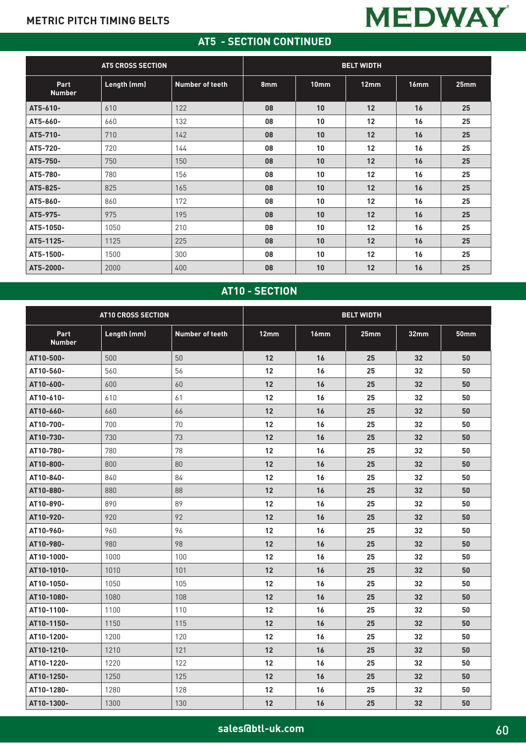# **AT5 - SECTION CONTINUED**

**MEDWAY** 

| <b>AT5 CROSS SECTION</b> |             |                        | <b>BELT WIDTH</b> |                  |      |      |      |  |
|--------------------------|-------------|------------------------|-------------------|------------------|------|------|------|--|
| Part<br><b>Number</b>    | Length (mm) | <b>Number of teeth</b> | 8mm               | 10 <sub>mm</sub> | 12mm | 16mm | 25mm |  |
| AT5-610-                 | 610         | 122                    | 08                | 10               | 12   | 16   | 25   |  |
| AT5-660-                 | 660         | 132                    | 08                | 10               | 12   | 16   | 25   |  |
| AT5-710-                 | 710         | 142                    | 08                | 10               | 12   | 16   | 25   |  |
| AT5-720-                 | 720         | 144                    | 08                | 10               | 12   | 16   | 25   |  |
| AT5-750-                 | 750         | 150                    | 08                | 10               | 12   | 16   | 25   |  |
| AT5-780-                 | 780         | 156                    | 08                | 10               | 12   | 16   | 25   |  |
| AT5-825-                 | 825         | 165                    | 08                | 10               | 12   | 16   | 25   |  |
| AT5-860-                 | 860         | 172                    | 08                | 10               | 12   | 16   | 25   |  |
| AT5-975-                 | 975         | 195                    | 08                | 10               | 12   | 16   | 25   |  |
| AT5-1050-                | 1050        | 210                    | 08                | 10               | 12   | 16   | 25   |  |
| AT5-1125-                | 1125        | 225                    | 08                | 10               | 12   | 16   | 25   |  |
| AT5-1500-                | 1500        | 300                    | 08                | 10               | 12   | 16   | 25   |  |
| AT5-2000-                | 2000        | 400                    | 08                | 10               | 12   | 16   | 25   |  |

# **AT10 - SECTION**

|                       | <b>AT10 CROSS SECTION</b> |                        | <b>BELT WIDTH</b> |      |      |                 |             |  |
|-----------------------|---------------------------|------------------------|-------------------|------|------|-----------------|-------------|--|
| Part<br><b>Number</b> | Length (mm)               | <b>Number of teeth</b> | 12mm              | 16mm | 25mm | 32mm            | <b>50mm</b> |  |
| AT10-500-             | 500                       | 50                     | 12                | 16   | 25   | 32              | 50          |  |
| AT10-560-             | 560                       | 56                     | 12                | 16   | 25   | 32              | 50          |  |
| AT10-600-             | 600                       | 60                     | 12                | 16   | 25   | 32              | 50          |  |
| AT10-610-             | 610                       | 61                     | 12                | 16   | 25   | 32              | 50          |  |
| AT10-660-             | 660                       | 66                     | 12                | 16   | 25   | 32              | 50          |  |
| AT10-700-             | 700                       | 70                     | 12                | 16   | 25   | 32              | 50          |  |
| AT10-730-             | 730                       | 73                     | 12                | 16   | 25   | 32              | 50          |  |
| AT10-780-             | 780                       | 78                     | 12                | 16   | 25   | 32              | 50          |  |
| AT10-800-             | 800                       | 80                     | 12                | 16   | 25   | 32              | 50          |  |
| AT10-840-             | 840                       | 84                     | 12                | 16   | 25   | 32              | 50          |  |
| AT10-880-             | 880                       | 88                     | 12                | 16   | 25   | 32              | 50          |  |
| AT10-890-             | 890                       | 89                     | 12                | 16   | 25   | 32              | 50          |  |
| AT10-920-             | 920                       | 92                     | 12                | 16   | 25   | 32 <sub>2</sub> | 50          |  |
| AT10-960-             | 960                       | 96                     | 12                | 16   | 25   | 32              | 50          |  |
| AT10-980-             | 980                       | 98                     | 12                | 16   | 25   | 32 <sub>2</sub> | 50          |  |
| AT10-1000-            | 1000                      | 100                    | 12                | 16   | 25   | 32              | 50          |  |
| AT10-1010-            | 1010                      | 101                    | 12                | 16   | 25   | 32              | 50          |  |
| AT10-1050-            | 1050                      | 105                    | 12                | 16   | 25   | 32              | 50          |  |
| AT10-1080-            | 1080                      | 108                    | 12                | 16   | 25   | 32              | 50          |  |
| AT10-1100-            | 1100                      | 110                    | 12                | 16   | 25   | 32              | 50          |  |
| AT10-1150-            | 1150                      | 115                    | 12                | 16   | 25   | 32              | 50          |  |
| AT10-1200-            | 1200                      | 120                    | 12                | 16   | 25   | 32              | 50          |  |
| AT10-1210-            | 1210                      | 121                    | 12                | 16   | 25   | 32              | 50          |  |
| AT10-1220-            | 1220                      | 122                    | 12                | 16   | 25   | 32 <sub>2</sub> | 50          |  |
| AT10-1250-            | 1250                      | 125                    | 12                | 16   | 25   | 32              | 50          |  |
| AT10-1280-            | 1280                      | 128                    | 12                | 16   | 25   | 32              | 50          |  |
| AT10-1300-            | 1300                      | 130                    | 12                | 16   | 25   | 32              | 50          |  |